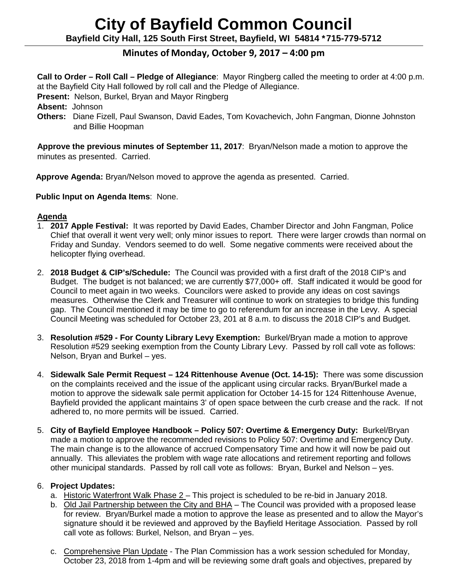# **City of Bayfield Common Council Bayfield City Hall, 125 South First Street, Bayfield, WI 54814 \*715-779-5712**

# **Minutes of Monday, October 9, 2017 – 4:00 pm**

**Call to Order – Roll Call – Pledge of Allegiance**: Mayor Ringberg called the meeting to order at 4:00 p.m. at the Bayfield City Hall followed by roll call and the Pledge of Allegiance.

**Present:** Nelson, Burkel, Bryan and Mayor Ringberg

**Absent:** Johnson

**Others:** Diane Fizell, Paul Swanson, David Eades, Tom Kovachevich, John Fangman, Dionne Johnston and Billie Hoopman

**Approve the previous minutes of September 11, 2017**: Bryan/Nelson made a motion to approve the minutes as presented. Carried.

**Approve Agenda:** Bryan/Nelson moved to approve the agenda as presented. Carried.

 **Public Input on Agenda Items**: None.

#### **Agenda**

- 1. **2017 Apple Festival:** It was reported by David Eades, Chamber Director and John Fangman, Police Chief that overall it went very well; only minor issues to report. There were larger crowds than normal on Friday and Sunday. Vendors seemed to do well. Some negative comments were received about the helicopter flying overhead.
- 2. **2018 Budget & CIP's/Schedule:** The Council was provided with a first draft of the 2018 CIP's and Budget. The budget is not balanced; we are currently \$77,000+ off. Staff indicated it would be good for Council to meet again in two weeks. Councilors were asked to provide any ideas on cost savings measures. Otherwise the Clerk and Treasurer will continue to work on strategies to bridge this funding gap. The Council mentioned it may be time to go to referendum for an increase in the Levy. A special Council Meeting was scheduled for October 23, 201 at 8 a.m. to discuss the 2018 CIP's and Budget.
- 3. **Resolution #529 - For County Library Levy Exemption:** Burkel/Bryan made a motion to approve Resolution #529 seeking exemption from the County Library Levy. Passed by roll call vote as follows: Nelson, Bryan and Burkel – yes.
- 4. **Sidewalk Sale Permit Request – 124 Rittenhouse Avenue (Oct. 14-15):** There was some discussion on the complaints received and the issue of the applicant using circular racks. Bryan/Burkel made a motion to approve the sidewalk sale permit application for October 14-15 for 124 Rittenhouse Avenue, Bayfield provided the applicant maintains 3' of open space between the curb crease and the rack. If not adhered to, no more permits will be issued. Carried.
- 5. **City of Bayfield Employee Handbook – Policy 507: Overtime & Emergency Duty:** Burkel/Bryan made a motion to approve the recommended revisions to Policy 507: Overtime and Emergency Duty. The main change is to the allowance of accrued Compensatory Time and how it will now be paid out annually. This alleviates the problem with wage rate allocations and retirement reporting and follows other municipal standards. Passed by roll call vote as follows: Bryan, Burkel and Nelson – yes.

# 6. **Project Updates:**

- a. Historic Waterfront Walk Phase 2 This project is scheduled to be re-bid in January 2018.
- b. Old Jail Partnership between the City and BHA The Council was provided with a proposed lease for review. Bryan/Burkel made a motion to approve the lease as presented and to allow the Mayor's signature should it be reviewed and approved by the Bayfield Heritage Association. Passed by roll call vote as follows: Burkel, Nelson, and Bryan – yes.
- c. Comprehensive Plan Update The Plan Commission has a work session scheduled for Monday, October 23, 2018 from 1-4pm and will be reviewing some draft goals and objectives, prepared by